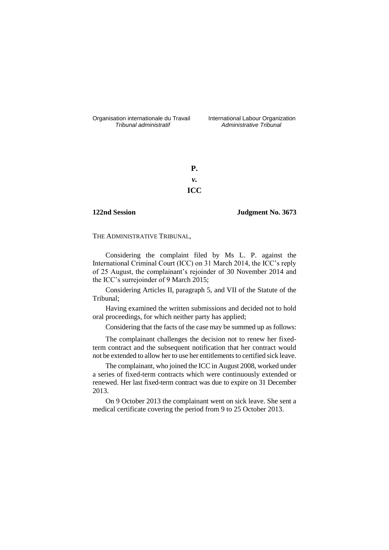Organisation internationale du Travail liternational Labour Organization<br> *Tribunal administratif Administrative Tribunal* 

*Tribunal administratif Administrative Tribunal*

**P.** *v.* **ICC**

# **122nd Session Judgment No. 3673**

THE ADMINISTRATIVE TRIBUNAL,

Considering the complaint filed by Ms L. P. against the International Criminal Court (ICC) on 31 March 2014, the ICC's reply of 25 August, the complainant's rejoinder of 30 November 2014 and the ICC's surrejoinder of 9 March 2015;

Considering Articles II, paragraph 5, and VII of the Statute of the Tribunal;

Having examined the written submissions and decided not to hold oral proceedings, for which neither party has applied;

Considering that the facts of the case may be summed up as follows:

The complainant challenges the decision not to renew her fixedterm contract and the subsequent notification that her contract would not be extended to allow her to use her entitlements to certified sick leave.

The complainant, who joined the ICC in August 2008, worked under a series of fixed-term contracts which were continuously extended or renewed. Her last fixed-term contract was due to expire on 31 December 2013.

On 9 October 2013 the complainant went on sick leave. She sent a medical certificate covering the period from 9 to 25 October 2013.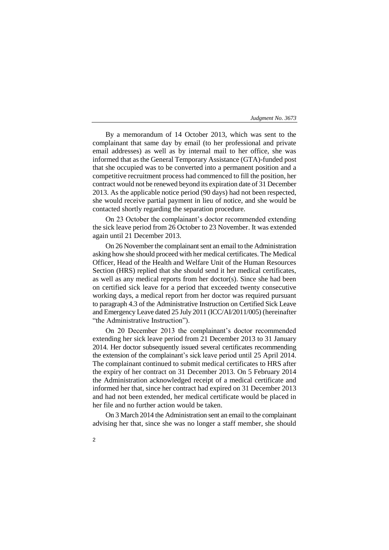By a memorandum of 14 October 2013, which was sent to the complainant that same day by email (to her professional and private email addresses) as well as by internal mail to her office, she was informed that as the General Temporary Assistance (GTA)-funded post that she occupied was to be converted into a permanent position and a competitive recruitment process had commenced to fill the position, her contract would not be renewed beyond its expiration date of 31 December 2013. As the applicable notice period (90 days) had not been respected, she would receive partial payment in lieu of notice, and she would be contacted shortly regarding the separation procedure.

On 23 October the complainant's doctor recommended extending the sick leave period from 26 October to 23 November. It was extended again until 21 December 2013.

On 26 November the complainant sent an email to the Administration asking how she should proceed with her medical certificates. The Medical Officer, Head of the Health and Welfare Unit of the Human Resources Section (HRS) replied that she should send it her medical certificates, as well as any medical reports from her doctor(s). Since she had been on certified sick leave for a period that exceeded twenty consecutive working days, a medical report from her doctor was required pursuant to paragraph 4.3 of the Administrative Instruction on Certified Sick Leave and Emergency Leave dated 25 July 2011 (ICC/AI/2011/005) (hereinafter "the Administrative Instruction").

On 20 December 2013 the complainant's doctor recommended extending her sick leave period from 21 December 2013 to 31 January 2014. Her doctor subsequently issued several certificates recommending the extension of the complainant's sick leave period until 25 April 2014. The complainant continued to submit medical certificates to HRS after the expiry of her contract on 31 December 2013. On 5 February 2014 the Administration acknowledged receipt of a medical certificate and informed her that, since her contract had expired on 31 December 2013 and had not been extended, her medical certificate would be placed in her file and no further action would be taken.

On 3 March 2014 the Administration sent an email to the complainant advising her that, since she was no longer a staff member, she should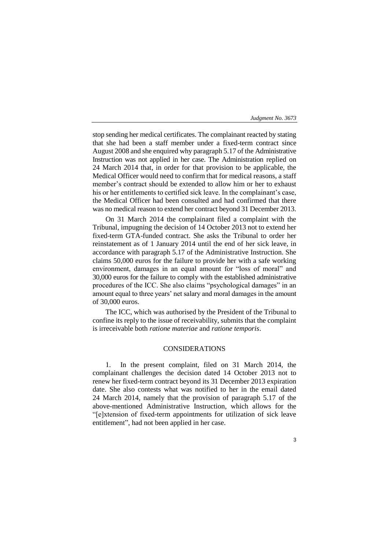stop sending her medical certificates. The complainant reacted by stating that she had been a staff member under a fixed-term contract since August 2008 and she enquired why paragraph 5.17 of the Administrative Instruction was not applied in her case. The Administration replied on 24 March 2014 that, in order for that provision to be applicable, the Medical Officer would need to confirm that for medical reasons, a staff member's contract should be extended to allow him or her to exhaust his or her entitlements to certified sick leave. In the complainant's case, the Medical Officer had been consulted and had confirmed that there was no medical reason to extend her contract beyond 31 December 2013.

On 31 March 2014 the complainant filed a complaint with the Tribunal, impugning the decision of 14 October 2013 not to extend her fixed-term GTA-funded contract. She asks the Tribunal to order her reinstatement as of 1 January 2014 until the end of her sick leave, in accordance with paragraph 5.17 of the Administrative Instruction. She claims 50,000 euros for the failure to provide her with a safe working environment, damages in an equal amount for "loss of moral" and 30,000 euros for the failure to comply with the established administrative procedures of the ICC. She also claims "psychological damages" in an amount equal to three years' net salary and moral damages in the amount of 30,000 euros.

The ICC, which was authorised by the President of the Tribunal to confine its reply to the issue of receivability, submits that the complaint is irreceivable both *ratione materiae* and *ratione temporis*.

# CONSIDERATIONS

1. In the present complaint, filed on 31 March 2014, the complainant challenges the decision dated 14 October 2013 not to renew her fixed-term contract beyond its 31 December 2013 expiration date. She also contests what was notified to her in the email dated 24 March 2014, namely that the provision of paragraph 5.17 of the above-mentioned Administrative Instruction, which allows for the "[e]xtension of fixed-term appointments for utilization of sick leave entitlement", had not been applied in her case.

3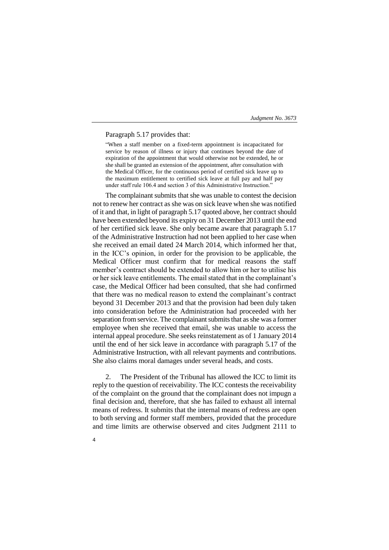## Paragraph 5.17 provides that:

"When a staff member on a fixed-term appointment is incapacitated for service by reason of illness or injury that continues beyond the date of expiration of the appointment that would otherwise not be extended, he or she shall be granted an extension of the appointment, after consultation with the Medical Officer, for the continuous period of certified sick leave up to the maximum entitlement to certified sick leave at full pay and half pay under staff rule 106.4 and section 3 of this Administrative Instruction."

The complainant submits that she was unable to contest the decision not to renew her contract as she was on sick leave when she was notified of it and that, in light of paragraph 5.17 quoted above, her contract should have been extended beyond its expiry on 31 December 2013 until the end of her certified sick leave. She only became aware that paragraph 5.17 of the Administrative Instruction had not been applied to her case when she received an email dated 24 March 2014, which informed her that, in the ICC's opinion, in order for the provision to be applicable, the Medical Officer must confirm that for medical reasons the staff member's contract should be extended to allow him or her to utilise his or her sick leave entitlements. The email stated that in the complainant's case, the Medical Officer had been consulted, that she had confirmed that there was no medical reason to extend the complainant's contract beyond 31 December 2013 and that the provision had been duly taken into consideration before the Administration had proceeded with her separation from service. The complainant submits that as she was a former employee when she received that email, she was unable to access the internal appeal procedure. She seeks reinstatement as of 1 January 2014 until the end of her sick leave in accordance with paragraph 5.17 of the Administrative Instruction, with all relevant payments and contributions. She also claims moral damages under several heads, and costs.

2. The President of the Tribunal has allowed the ICC to limit its reply to the question of receivability. The ICC contests the receivability of the complaint on the ground that the complainant does not impugn a final decision and, therefore, that she has failed to exhaust all internal means of redress. It submits that the internal means of redress are open to both serving and former staff members, provided that the procedure and time limits are otherwise observed and cites Judgment 2111 to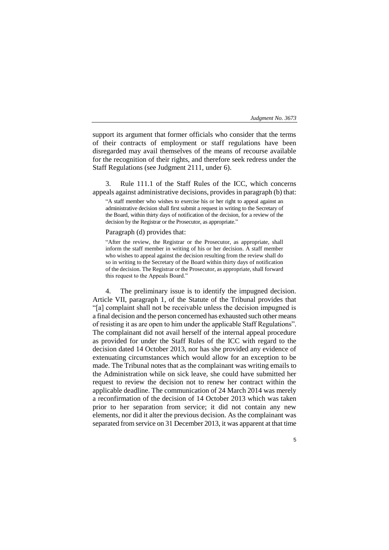5

support its argument that former officials who consider that the terms of their contracts of employment or staff regulations have been disregarded may avail themselves of the means of recourse available for the recognition of their rights, and therefore seek redress under the Staff Regulations (see Judgment 2111, under 6).

3. Rule 111.1 of the Staff Rules of the ICC, which concerns appeals against administrative decisions, provides in paragraph (b) that:

"A staff member who wishes to exercise his or her right to appeal against an administrative decision shall first submit a request in writing to the Secretary of the Board, within thirty days of notification of the decision, for a review of the decision by the Registrar or the Prosecutor, as appropriate."

## Paragraph (d) provides that:

"After the review, the Registrar or the Prosecutor, as appropriate, shall inform the staff member in writing of his or her decision. A staff member who wishes to appeal against the decision resulting from the review shall do so in writing to the Secretary of the Board within thirty days of notification of the decision. The Registrar or the Prosecutor, as appropriate, shall forward this request to the Appeals Board."

4. The preliminary issue is to identify the impugned decision. Article VII, paragraph 1, of the Statute of the Tribunal provides that "[a] complaint shall not be receivable unless the decision impugned is a final decision and the person concerned has exhausted such other means of resisting it as are open to him under the applicable Staff Regulations". The complainant did not avail herself of the internal appeal procedure as provided for under the Staff Rules of the ICC with regard to the decision dated 14 October 2013, nor has she provided any evidence of extenuating circumstances which would allow for an exception to be made. The Tribunal notes that as the complainant was writing emails to the Administration while on sick leave, she could have submitted her request to review the decision not to renew her contract within the applicable deadline. The communication of 24 March 2014 was merely a reconfirmation of the decision of 14 October 2013 which was taken prior to her separation from service; it did not contain any new elements, nor did it alter the previous decision. As the complainant was separated from service on 31 December 2013, it was apparent at that time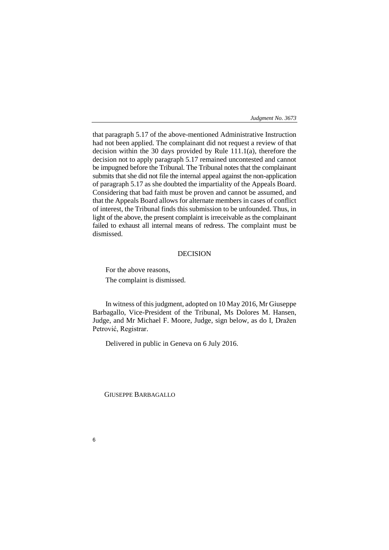that paragraph 5.17 of the above-mentioned Administrative Instruction had not been applied. The complainant did not request a review of that decision within the 30 days provided by Rule 111.1(a), therefore the decision not to apply paragraph 5.17 remained uncontested and cannot be impugned before the Tribunal. The Tribunal notes that the complainant submits that she did not file the internal appeal against the non-application of paragraph 5.17 as she doubted the impartiality of the Appeals Board. Considering that bad faith must be proven and cannot be assumed, and that the Appeals Board allows for alternate members in cases of conflict of interest, the Tribunal finds this submission to be unfounded. Thus, in light of the above, the present complaint is irreceivable as the complainant failed to exhaust all internal means of redress. The complaint must be dismissed.

# DECISION

For the above reasons, The complaint is dismissed.

In witness of this judgment, adopted on 10 May 2016, Mr Giuseppe Barbagallo, Vice-President of the Tribunal, Ms Dolores M. Hansen, Judge, and Mr Michael F. Moore, Judge, sign below, as do I, Dražen Petrović, Registrar.

Delivered in public in Geneva on 6 July 2016.

GIUSEPPE BARBAGALLO

6